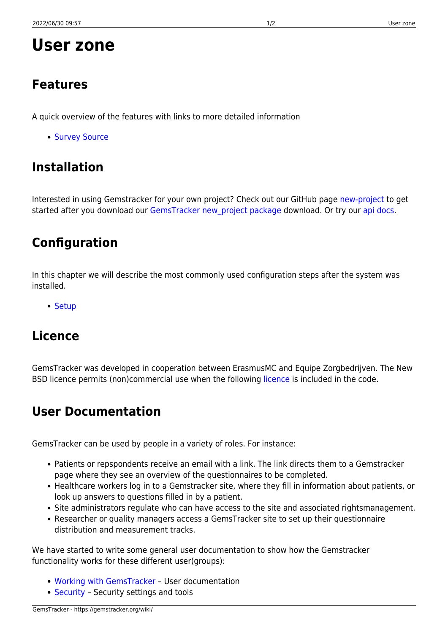# **User zone**

### **Features**

A quick overview of the features with links to more detailed information

• [Survey Source](https://gemstracker.org/wiki/doku.php?id=userzone:features:start)

# **Installation**

Interested in using Gemstracker for your own project? Check out our GitHub page [new-project](https://github.com/GemsTracker/new-project) to get started after you download our GemsTracker new project package download. Or try our [api docs.](http://gemstracker.org/api)

## **Configuration**

In this chapter we will describe the most commonly used configuration steps after the system was installed.

• [Setup](https://gemstracker.org/wiki/doku.php?id=userzone:setup)

### **Licence**

GemsTracker was developed in cooperation between ErasmusMC and Equipe Zorgbedrijven. The New BSD [licence](https://gemstracker.org/wiki/doku.php?id=userzone:licence) permits (non)commercial use when the following licence is included in the code.

# **User Documentation**

GemsTracker can be used by people in a variety of roles. For instance:

- Patients or repspondents receive an email with a link. The link directs them to a Gemstracker page where they see an overview of the questionnaires to be completed.
- Healthcare workers log in to a Gemstracker site, where they fill in information about patients, or look up answers to questions filled in by a patient.
- Site administrators regulate who can have access to the site and associated rightsmanagement.
- Researcher or quality managers access a GemsTracker site to set up their questionnaire distribution and measurement tracks.

We have started to write some general user documentation to show how the Gemstracker functionality works for these different user(groups):

- [Working with GemsTracker](https://gemstracker.org/wiki/doku.php?id=userzone:userdoc:start)  User documentation
- [Security](https://gemstracker.org/wiki/doku.php?id=userzone:security:start) Security settings and tools